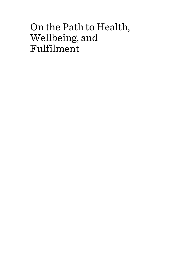# On the Path to Health, Wellbeing, and Fulfilment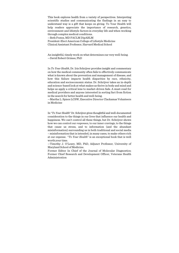This book explores health from a variety of perspectives. Interpreting scientific studies and communicating the findings in an easy to understand way is a gift that keeps on giving. To Your Health will help readers appreciate the importance of research, genetics, environment and lifestyle factors in everyday life and when working through complex medical conditions.

—Beth Frates, MD FACLM DipABLM

President-Elect American College of Lifestyle Medicine Clinical Assistant Professor, Harvard Medical School

An insightful, timely work on what determines our very well-being. —David Robert Grimes, PhD

In *To Your Health*, Dr. Iris Schrijver provides insight and commentary on how the medical community often fails to effectively communicate what is known about the prevention and management of disease, and how this failure impacts health disparities by race, ethnicity, education and socioeconomic status. Dr. Schrijver takes an in-depth and science-based look at what makes us thrive in body and mind and helps us apply a critical lens to market-driven fads. A must-read for medical providers and anyone interested in sorting fact from fiction in the search for better health and well-being.

—Martha L. Spiers LCSW, Executive Director Clackamas Volunteers in Medicine

In "*To Your Health*" Dr. Schrijver gives thoughtful and well-documented consideration to the things in our lives that influence our health and happiness. We can't control all these things, but Dr. Schrijver shows how we can control our *responses,* to our inner cravings, to the things that cause us stress, and to information (and the abundant misinformation) surrounding us in both traditional and social media – misinformation that is intended, in many cases, to make others rich at our expense. "*To Your Health*" is an exceptional book that is well worth your time.

—Timothy J. O'Leary, MD, PhD, Adjunct Professor, University of Maryland School of Medicine.

Former Editor In Chief of the Journal of Molecular Diagnostics; Former Chief Research and Development Officer, Veterans Health Administration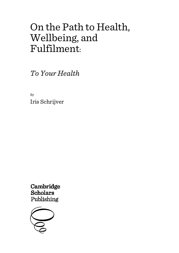# On the Path to Health, Wellbeing, and Fulfilment:

*To Your Health*

By Iris Schrijver

Cambridge **Scholars** Publishing

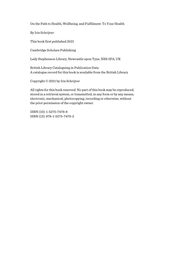On the Path to Health, Wellbeing, and Fulfilment: To Your Health

By Iris Schrijver

This book first published 2021

Cambridge Scholars Publishing

Lady Stephenson Library, Newcastle upon Tyne, NE6 2PA, UK

British Library Cataloguing in Publication Data A catalogue record for this book is available from the British Library

Copyright © 2021 by Iris Schrijver

All rights for this book reserved. No part of this book may be reproduced, stored in a retrieval system, or transmitted, in any form or by any means, electronic, mechanical, photocopying, recording or otherwise, without the prior permission of the copyright owner.

ISBN (10): 1-5275-7476-8 ISBN (13): 978-1-5275-7476-2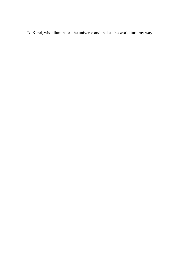To Karel, who illuminates the universe and makes the world turn my way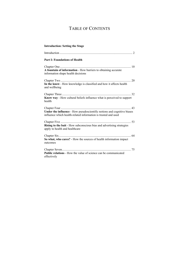## TABLE OF CONTENTS

| <b>Introduction: Setting the Stage</b>                                                                                                    |
|-------------------------------------------------------------------------------------------------------------------------------------------|
|                                                                                                                                           |
| <b>Part I: Foundations of Health</b>                                                                                                      |
| A fountain of information - How barriers to obtaining accurate<br>information shape health decisions                                      |
| In the know - How knowledge is classified and how it affects health<br>and wellbeing                                                      |
| Know way - How cultural beliefs influence what is perceived to support<br>health                                                          |
| Under the influence - How pseudoscientific notions and cognitive biases<br>influence which health-related information is trusted and used |
| Rising to the bait - How subconscious bias and advertising strategies<br>apply to health and healthcare                                   |
| So what, who cares? - How the sources of health information impact<br>outcomes                                                            |
| Public relations - How the value of science can be communicated<br>effectively                                                            |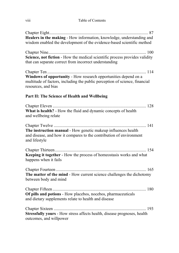#### viii Table of Contents

| Healers in the making - How information, knowledge, understanding and<br>wisdom enabled the development of the evidence-based scientific method                       |
|-----------------------------------------------------------------------------------------------------------------------------------------------------------------------|
| Science, not fiction - How the medical scientific process provides validity<br>that can separate correct from incorrect understanding                                 |
| Windows of opportunity - How research opportunities depend on a<br>multitude of factors, including the public perception of science, financial<br>resources, and bias |
| Part II: The Science of Health and Wellbeing                                                                                                                          |
| What is health? - How the fluid and dynamic concepts of health<br>and wellbeing relate                                                                                |
| The instruction manual - How genetic makeup influences health<br>and disease, and how it compares to the contribution of environment<br>and lifestyle                 |
| Keeping it together - How the process of homeostasis works and what<br>happens when it fails                                                                          |
| The matter of the mind - How current science challenges the dichotomy<br>between body and mind                                                                        |
| Of pills and potions - How placebos, nocebos, pharmaceuticals<br>and dietary supplements relate to health and disease                                                 |
| Stressfully yours - How stress affects health, disease prognoses, health<br>outcomes, and willpower                                                                   |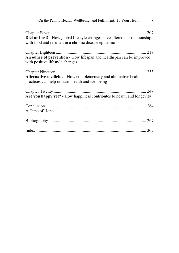| On the Path to Health, Wellbeing, and Fulfilment: To Your Health ix                                                                |
|------------------------------------------------------------------------------------------------------------------------------------|
| Diet or bust! - How global lifestyle changes have altered our relationship<br>with food and resulted in a chronic disease epidemic |
| An ounce of prevention - How lifespan and healthspan can be improved<br>with positive lifestyle changes                            |
| Alternative medicine - How complementary and alternative health<br>practices can help or harm health and wellbeing                 |
| Are you happy yet? - How happiness contributes to health and longevity                                                             |
| A Time of Hope                                                                                                                     |
|                                                                                                                                    |
|                                                                                                                                    |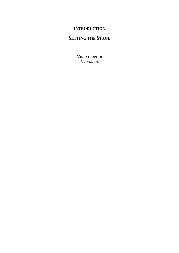## **INTRODUCTION**

## **SETTING THE STAGE**

~Vade mecum~ [Go with me]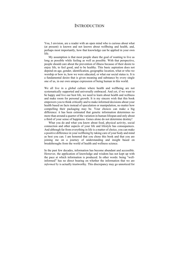#### **INTRODUCTION**

You, I envision, are a reader with an open mind who is curious about what (at present) is known and not known about wellbeing and health, and, perhaps most importantly, how that knowledge can be applied in your own life.

My assumption is that most people share the goal of wanting to live as long as possible while feeling as well as possible. With that perspective, people should care about the prevention of illness because of their desire to enjoy life, to feel good, and to be healthy. This basic aspiration does not depend on age, gender, identification, geographic location, what or who we worship or bow to, how we were educated, or what our social status is. It is a fundamental desire that is given meaning and substance by every single one of us, in our own unique expression of being human in this world.

We all live in a global culture where health and wellbeing are not systematically supported and universally embraced. And yet, if we want to be happy and live our best life, we need to learn about health and wellness and make room for personal growth. It is my sincere wish that this book empowers you to think critically and to make informed decisions about your health based on facts instead of speculation or manipulation, no matter how compelling their packaging may be. Your choices can make a big difference: it has been estimated that genetic information determines no more than around a quarter of the variation in human lifespan and only about a third of your sense of happiness. Genes alone do not determine destiny!

What you do and what you know about food, physical activity, social connection and other aspects of your life and lifestyle has consequences. And although far from everything in life is a matter of choice, you can make a positive difference in your wellbeing by taking care of your body and mind as best you can. I am honored that you chose this book and that you are joining me on a journey of understanding and insight based on breakthroughs from the world of health and wellness science.

In the past few decades, information has become abundant and accessible. However, the application of knowledge and wisdom has not kept up with the pace at which information is produced. In other words: being "wellinformed" has no direct bearing on whether the information that we are *informed by* is actually trustworthy. This discrepancy may go unnoticed for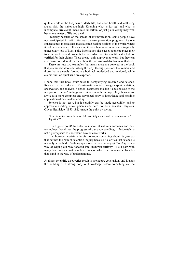quite a while in the busyness of daily life, but when health and wellbeing are at risk, the stakes are high. Knowing what is for real and what is incomplete, irrelevant, inaccurate, uncertain, or just plain wrong may well become a matter of life and death.

Precisely because of the spread of misinformation, some people have not participated in safe infectious disease prevention programs. As one consequence, measles has made a come-back to regions of the world where it had been eradicated. It is causing illness there once more, and a tragically unnecessary loss of lives. False information also causes people to place their trust in practices and products that are advertised to benefit health but not verified for their claims. These are not only unproven to work, but they can also cause considerable harm without the provision of disclosure of that risk.

These are just two examples, but many more are covered in the book that you are about to read. Along the way, the big questions that remain and those that are newly formed are both acknowledged and explored, while claims built on quicksand are exposed.

I hope that this book contributes to demystifying research and science. Research is the endeavor of systematic studies through experimentation, observation, and analysis. Science is a process too, but it develops out of the integration of *novel* findings with *other* research findings. Only then can we arrive at a more complete and advanced body of knowledge and possible application of new understanding.

Science is not easy, but it certainly can be made accessible, and to appreciate exciting developments one need not be a scientist. Physicist Oliver Heaviside (1850-1925) made the point by saying:

"Am I to refuse to eat because I do not fully understand the mechanism of digestion?"<sup>1</sup>

It is a good point! In order to marvel at nature's surprises and new technology that drives the progress of our understanding, it fortunately is not a prerequisite to understand how science works.

It is, however, certainly helpful to know something about *the process* that defines the path of scientific inquiry because it clarifies that science is not only a method of solving questions but also *a way of thinking*. It is a way of edging our way forward into unknown territory. It is a path with many dead ends and with ample detours, on which one encounters obstacles that stand in the way of understanding.

At times, scientific discoveries result in premature conclusions and it takes the building of a strong body of knowledge before something can be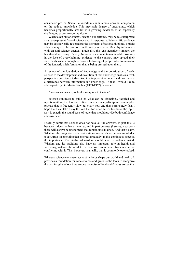considered proven. Scientific uncertainty is an almost constant companion on the path to knowledge. This inevitable degree of uncertainty, which becomes proportionally smaller with growing evidence, is an especially challenging aspect to communicate.

When taken out of context, scientific uncertainty may be misinterpreted as an ever-present flaw of science and, in response, solid scientific evidence may be categorically rejected (to the detriment of rational thinking, I might add). It may also be promoted nefariously as a lethal flaw, by influencers with an anti-science agenda. Tragically, this can negatively impact the health and wellbeing of many. Naysayers who maintain untenable positions in the face of overwhelming evidence to the contrary may spread their statements widely enough to draw a following of people who are unaware of the fantastic misinformation that is being pressed upon them.

A review of the foundation of knowledge and the contribution of early science to the development and evolution of that knowledge enables a fresh perspective on science today. And it is important to understand that there is a difference between information and knowledge. To that, I would like to add a quote by Dr. Martin Fischer (1879-1962), who said:

"Facts are not science, as the dictionary is not literature."<sup>2</sup>

Science continues to build on what can be objectively verified and rejects anything that has been refuted. Science in any discipline is a complex process that is frequently slow but every now and then surprisingly fast. I hope that I can take away the veil that too often seems to shroud the topic, as it is exactly the sound basis of logic that should provide both confidence and assurance.

I readily admit that science does not have all the answers. In part this is because it does not have them *yet*, and in part because (I strongly suspect) there will always be phenomena that remain unexplained. And that's okay. Whatever the categories and classifications into which we put our knowledge today, truth is something that emerges gradually. In this continuous process, the importance of a mindset of wisdom should never be underestimated. Wisdom and its traditions also have an important role in health and wellbeing, without the need to be perceived as separate from science or conflicting with it. This, however, is a reality that is commonly overlooked.

Whereas science can seem abstract, it helps shape our world and health. It provides a foundation for wise choices and gives us the tools to recognize the best insights of our time among the noise of loud and famous voices that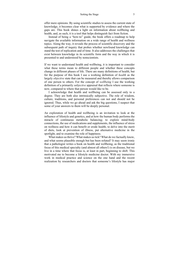offer mere opinions. By using scientific studies to assess the current state of knowledge, it becomes clear what is supported by evidence and where the gaps are. This book shines a light on information about wellbeing and health, and, as such, it is a tool that helps distinguish fact from fiction.

Instead of being a "how-to" guide, the book offers a roadmap to help navigate the available information on a wide range of health and wellness topics. Along the way, it reveals the process of scientific discovery and the subsequent path of inquiry that probes whether newfound knowledge can stand the test of replication and of time. It also addresses the challenges that exist between knowledge in its scientific form and the way in which it is presented to and understood by nonscientists.

If we want to understand health and wellbeing, it is important to consider what these terms mean to different people and whether these concepts change in different phases of life. There are many definitions of health, but for the purpose of this book I use a working definition of *health* as the largely *objective* state that can be measured and thereby allows comparison of one person to others. For the concept of *wellbeing* I use the working definition of a primarily *subjective* appraisal that reflects where someone is now, compared to where that person would like to be.

I acknowledge that health and wellbeing can be assessed only to a degree. They are both also intrinsically subjective. The role of wisdom, culture, traditions, and personal preferences can not and should not be ignored. Thus, while we go ahead and ask the big questions, I suspect that some of your answers to them will be deeply personal.

An exploration of health and wellbeing is an invitation to look at the influence of lifestyle and genetics, and at how the human body performs the miracle of continuous metabolic balancing; to explore mind-body connections, the use of medications and supplements, the influence of stress on wellness and how it can benefit or erode health; to delve into the merit of diets, look at prevention of illness, put alternative medicine in the spotlight, and to examine the role of happiness.

What makes us thrive? What makes us tick? What do we factually know, and what seems plausible enough but has been refuted? It may seem ironic that a pathologist writes a book on health and wellbeing, as the traditional focus of this medical specialty (and almost all others!) is on disease, but we live in a time where that focus is, at least in part, beginning to shift. This motivated me to become a lifestyle medicine doctor. With my immersive work in medical practice and science on the one hand and the recent realization by researchers and doctors that someone's lifestyle has major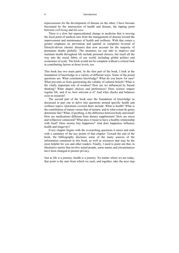repercussions for the development of disease on the other, I have become fascinated by the intersection of health and disease, the tipping point between *well-being* and *dis-ease*.

There is a slow but unprecedented change in medicine that is moving the focal point of medical care from the management of disease toward the improvement and maintenance of health and wellness. With that comes a greater emphasis on prevention and (partial or complete) reversal of lifestyle-driven chronic diseases that now account for the majority of premature deaths globally. The measures we can take to improve and maintain health throughout life include personal choices, but reach all the way into the social fabric of our world, including global politics and economies of scale. The book would not be complete without a critical look at contributing factors at those levels, too.

This book has two main parts. In the first part of the book, I look at the foundation of knowledge in a variety of different ways. Some of the posed questions are: What constitutes knowledge? What do you know for sure? What prevents us from questioning the validity of cultural beliefs? What is the vitally important role of wisdom? How are we influenced by biased thinking? What shapes choices and preferences? Does science impact regular life, and if so, how relevant is it? And what checks and balances exist in research?

The second part of the book uses the foundation of knowledge as discussed in part one to delve into questions around specific health and wellness topics. Questions covered there include: What is health? What is the contribution of nature versus that of nurture, and to what extent do genes determine fate? What, if anything, is the difference between body and mind? How are medications different from dietary supplements? How are stress and willpower connected? What does it mean to have a healthy relationship with food? Does money buy happiness? And does happiness influence health and longevity?

Every chapter begins with the overarching questions it raises and ends with a summary of the key points of that chapter. Toward the end of the book, the bibliography discloses some of the many sources of the information contained in this book, as well as resources that may be the most helpful for you and other readers. Finally, I need to point out that, in illustrative stories that involve actual people, some names and circumstances have been changed to protect privacy.

Just as life is a journey, health is a journey. No matter where we are today, that point is the start from which we each, and together, take the next step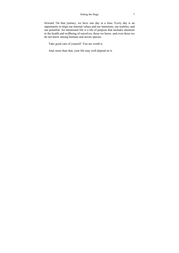forward. On that journey, we have one day at a time. Every day is an opportunity to align our internal values and our intentions, our realities, and our potential. An intentional life is a life of purpose that includes attention to the health and wellbeing of ourselves, those we know, and even those we do not know among humans and across species.

Take good care of yourself. You are worth it.

And, more than that, your life may well depend on it.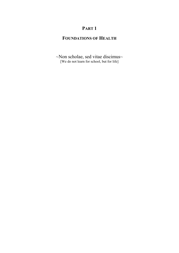## **PART 1**

### **FOUNDATIONS OF HEALTH**

~Non scholae, sed vitae discimus~ [We do not learn for school, but for life]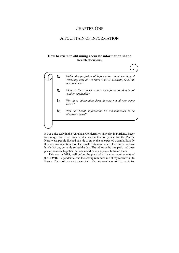### CHAPTER ONE

### A FOUNTAIN OF INFORMATION

#### **How barriers to obtaining accurate information shape health decisions**

 *Within the profusion of information about health and wellbeing, how do we know what is accurate, relevant, and complete?* 

- *What are the risks when we trust information that is not valid or applicable?*
- *Why does information from doctors not always come across?*
- *How can health information be communicated to be effectively heard?*

It was quite early in the year and a wonderfully sunny day in Portland. Eager to emerge from the rainy winter season that is typical for the Pacific Northwest, people flocked outside to enjoy the unexpected warmth. Exactly this was my intention too. The small restaurant where I ventured to have lunch that day certainly seized the day. The tables on its tiny patio had been placed so close together that one could barely squeeze between them.

This was in 2019, well before the physical distancing requirements of the COVID-19 pandemic, and the setting reminded me of my recent visit to France. There, often every square inch of a restaurant was used to maximize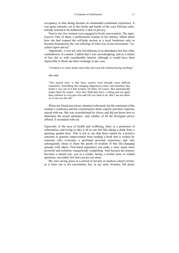occupancy so that dining became an unintended communal experience. It was quite intimate, yet in the hustle and bustle of the cozy Parisian cafes, nobody seemed to be bothered by a lack of privacy.

Next to me, two women were engaged in lively conversation. The topic: *Experts*. One of them, a professional woman in her thirties, talked about how she had roamed the self-help section at a local bookstore only to become frustrated by the vast offerings of what was, in her assessment, "socalled expert advice".

Apparently, it was not only bewildering in its abundance but also often contradictory in content. I admit that I was eavesdropping, and as a matter of fact did so with considerable interest, although it would have been impossible to block out their exchange in any case.

"I looked at so many books and in the end I just left without buying anything,"

she said.

"The typical story is that these experts went through some difficult experience. Something life-changing happened to them, and somehow they found a way out of it that worked, for them. Of course, that automatically makes them *the* expert…Now they think they have a calling and can apply their solution to everyone else and tell you what to do. But I am not them. As if one size fits all!"

When my friend arrived my attention refocused, but the sentiment of the woman's confusion and her consternation about experts and their expertise stayed with me. She was overwhelmed by choice and did not know how to determine the actual substance and validity of all the divergent advice offered. It resonated with me.

Especially in the area of health and wellbeing, there is a profusion of information, and trying to take it all in can feel like taking a drink from a spouting garden hose. This is not to say that there cannot be a positive outcome or genuine improvement from reading a book that is written by someone who overcame a profound personal experience and who subsequently chose to share the pearls of wisdom of this life-changing episode with others. First-hand experience can make a story much more powerful and solutions categorically compelling. And because the journey becomes a shared one, you as a reader, facing a similar issue or related questions, inevitably feel that you are not alone.

My own saving grace in a period of anxiety in medical school (which, as it turns out is not uncommon, but, in my early twenties, felt pretty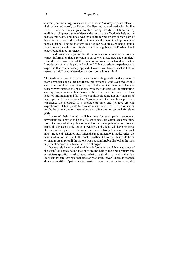#### 12 Chapter One

alarming and isolating) was a wonderful book: "Anxiety  $\&$  panic attacks – their cause and cure", by Robert Handley and co-authored with Pauline  $N$ eff.<sup>1</sup> It was not only a great comfort during that difficult time but, by outlining a simple program of desensitization, it was effective in helping me manage my fears. That book was invaluable for me on my chosen path of becoming a doctor and enabled me to manage the unavoidable pressures of medical school. Finding the right resource can be quite a challenge though, as we may not see the forest for the trees. My neighbor at the Portland lunch place found that out for herself.

How do we even begin to filter the abundance of advice so that we can extract information that is relevant to us, as well as accurate and complete? How do we know what of this copious information is based on factual knowledge and what is personal opinion? What constitutes experience and expertise that can be widely applied? How do we discern what is helpful versus harmful? And where does wisdom come into all this?

The traditional way to receive answers regarding health and wellness is from physicians and other healthcare professionals. And even though this can be an excellent way of receiving reliable advice, there are plenty of reasons why interactions of patients with their doctors can be frustrating, causing people to seek their answers elsewhere. In a time when we have loads of information and few filters, cognitive flooding not only happens to laypeople but to their doctors, too. Physicians and other healthcare providers experience the pressures of a shortage of time, and yet face growing expectations of being able to provide instant answers. This combination results in patient-doctor interactions that often are not optimal for either party.

Aware of their limited available time for each patient encounter, physicians feel pressed to be as efficient as possible within each brief time slot. One way of doing this is to determine their patient's concerns as expeditiously as possible. Often, nowadays, a physician will have reviewed the reason for a patient's visit in advance and is likely to assume that such notes, frequently taken by staff when the appointment was made, reflect the main motive for the visit to the doctor's office. Of course, this could be an erroneous assumption if the patient was not comfortable disclosing the most important concern in advance and to a stranger!

Doctors rely heavily on the minimal information available in advance of the visit.<sup>2</sup> One study found that only around half of the time primary care physicians specifically asked about what brought their patient in that day. In specialty care settings, that fraction was even lower. There, it dropped down to one-fifth of patient visits, possibly because a referral to a specialist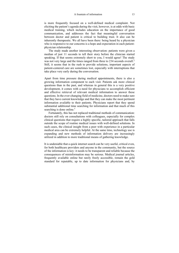is more frequently focused on a well-defined medical complaint. Not eliciting the patient's agenda during the visit, however, is at odds with basic medical training, which includes education on the importance of good communication, and addresses the fact that meaningful conversation between doctor and patient is critical to building trust. It also can be inherently therapeutic. We all have been there: being heard by a physician who is responsive to our concerns is a hope and expectation in each patientphysician relationship.

The study made another interesting observation: patients were given a median of just 11 seconds to tell their story before the clinician started speaking. If that seems extremely short to you, I would agree! The study was not very large and the times ranged from three to 234 seconds overall.<sup>2</sup> Still, it seems that in the rush to provide solutions, important aspects of patient-centered care are sometimes lost, especially with interruptions that take place very early during the conversation.

Apart from time pressure during medical appointments, there is also a growing information component to each visit. Patients ask more clinical questions than in the past, and whereas in general this is a very positive development, it comes with a need for physicians to accomplish efficient and effective retrieval of relevant medical information to answer these questions. In the ever-changing field of medicine, doctors need to make sure that they have current knowledge and that they can make the most pertinent information available to their patients. Physicians report that they spend substantial additional time searching for information and that much of this searching is done online.<sup>3</sup>

Fortunately, this has not replaced traditional methods of communication: doctors still rely on consultations with colleagues, especially for complex clinical questions that require a highly specific, tailored approach that falls outside the scope of routine medical issues with well-defined solutions. In such cases, the clinical insight from a peer with experience in a particular medical area can be extremely helpful. At the same time, technology use is expanding and new methods of information delivery are increasingly utilized in addition to more traditional means of gathering knowledge.

It is undeniable that a quick internet search can be very useful, critical even, for both healthcare providers and anyone in the community, but the source of the information is key: it needs to be transparent and reliable because the consequences of misinformation may be serious. Medical journal articles, frequently available online but rarely freely accessible, remain the gold standard for reputable, up to date information for physicians and, by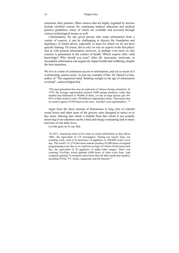extension, their patients. Other sources that are highly regarded by doctors include certified courses for continuing medical education and medical practice guidelines, many of which are available and accessed through various technological means as well.

Unfortunately, for any given person who seeks information from a variety of sources, it can be challenging to discern the foundation and legitimacy of found advice, especially in areas for which we do not have specific training. Of course, this is why we rely on experts in the first place! Just as with general information, however, or perhaps even more so, this concern is paramount in the context of health. Which experts offer valid knowledge? Who should you trust? After all: inaccurate, irrelevant, or incomplete information can negatively impact health and wellbeing, despite the best intentions.

We live in a time of continuous access to information, and yet so much of it is distracting, useless noise. As just one example of this, Dr. Daniel Levitin, author of "The organized mind: thinking straight in the age of information overload", acknowledged that

"The past generation has seen an explosion of choices facing consumers. In 1976, the average supermarket stocked 9,000 unique products; today that number has ballooned to 40,000 of them, yet the average person gets 80- 85% of their needs in only 150 different supermarket items. That means that we need to ignore 39,850 items in the store. And that's just supermarkets..."4

Apart from the sheer amount of distractions in long isles of colorful cereal boxes and other areas of the grocery store designed to entice us to buy more, filtering that which is helpful from that which is not actually deserving of our attention can be a time and energy-consuming task in many activities of our daily lives.

Levitin goes on to say that

"In 2011, Americans took in five times as much information as they did in 1986—the equivalent of 175 newspapers. During our leisure time, not counting work, each of us processes 34 gigabytes or 100,000 words every day. The world's 21,274 television stations produce 85,000 hours of original programming every day as we watch an average of 5 hours of television each day, the equivalent of 20 gigabytes of audio-video images. That's not counting YouTube, which uploads 6,000 hours of video every hour. And computer gaming? It consumes more bytes than all other media put together, including DVDs, TV, books, magazines and the Internet."4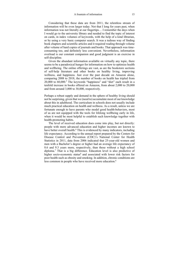Considering that these data are from 2011, the relentless stream of information will be even larger today. Not that I long for years past, when information was not literally at our fingertips… I remember the days when I would go to the university library and needed to find the topic of interest on cards, in index volumes of keywords, with the help of a kind librarian, or by using a very basic computer search. It was a tedious way of finding book chapters and scientific articles and it required wading through volume after volume of hard copies of journals and books. That approach was timeconsuming too, and definitely less convenient. Nevertheless, information overload is our constant companion and good judgment is an exercise in self-discipline.

Given the abundant information available on virtually any topic, there seems to be a paradoxical hunger for information on how to optimize health and wellbeing. The online offerings are vast, as are the bookstore sections of self-help literature and other books on healthy living, improving wellness, and happiness. Just over the past decade on Amazon alone, comparing 2008 to 2018, the number of books on health has tripled from 20,000 to 60,000.5 The keywords "happiness" and "diet" each result in a tenfold increase in books offered on Amazon, from about 2,000 to 20,000 and from around 3,000 to 30,000, respectively.

Perhaps a robust supply and demand in the sphere of healthy living should not be surprising, given that we (need to) accumulate most of our knowledge about this in adulthood. The curriculum in schools does not usually include much practical education on health and wellness. As a result, unless we are fortunate enough to have parents who model good health-behaviors, most of us are not equipped with the tools for lifelong wellbeing early in life, when it would be most helpful to establish such knowledge together with health-promoting habits.

The level of received education does come into play, but not directly: people with more advanced education and higher incomes are known to have better overall health.<sup>6</sup> This is evidenced by many indicators, including life expectancy. According to the annual report prepared by the Centers for Disease Control and Prevention (CDC)'s National Center for Health Statistics in 2011, data from 2006 indicated that 25-year-old women and men with a Bachelor's degree or higher had an average life expectancy of 8.6 and 9.3 years more, respectively, than those without a high school diploma.7 That is a big difference. Education level is also predictive of higher socio-economic status<sup>8</sup> and associated with lower risk factors for poor health such as obesity and smoking. In addition, chronic conditions are less common in people who have received more education.<sup>6</sup>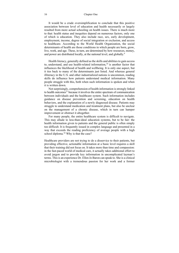#### 16 Chapter One

It would be a crude oversimplification to conclude that this positive association between level of education and health necessarily or largely resulted from more actual schooling on health issues. There is much more to that: health status and inequities depend on numerous factors, only one of which is education. They also include race, sex, early development, employment, income, degree of social integration or exclusion, and access to healthcare. According to the World Health Organization, the social determinants of health are those conditions in which people are born, grow, live, work, and age. These, in turn, are determined by how resources, money, and power are distributed locally, at the national level, and globally.<sup>9</sup>

Health literacy, generally defined as the skills and abilities to gain access to, understand, and use health-related information, $10$  is another factor that influences the likelihood of health and wellbeing. It is only one aspect, but it ties back to many of the determinants just listed. And whereas general illiteracy in the U.S. and other industrialized nations is uncommon, reading skills do influence how patients understand medical information. Many people struggle with this, both when such information is spoken and when it is written down.

Not surprisingly, comprehension of health information is strongly linked to health outcomes<sup>11</sup> because it involves the entire spectrum of communication between individuals and the healthcare system. Such information includes guidance on disease prevention and screening, education on health behaviors, and the explanation of a newly diagnosed disease. Patients may struggle to understand medication and treatment plans, but also be unclear on the management of a chronic disease, which in turn can hamper improvement or obstruct it altogether.

For many people, the entire healthcare system is difficult to navigate. This may allude to less-than-ideal education systems, but to be fair: the health information given to patients and the general public is often simply too difficult. It is frequently issued in complex language and presented in a way that exceeds the reading proficiency of average people with a high school diploma.<sup>10</sup> Why is that the case?

Healthcare providers are not trying to do a disservice to their patients, but providing effective, actionable information at a basic level requires a skill that their training did not focus on. It takes more than time and compassion: in the fast-paced world of medical care, it actually takes additional effort to avoid jargon and to provide key information in uncomplicated layman's terms. This is an experience Dr. Ellen Jo Baron can speak to. She is a clinical microbiologist with a tremendous passion for her work and a former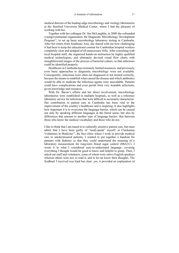medical director of the leading-edge microbiology and virology laboratories at the Stanford University Medical Center, where I had the pleasure of working with her.

Together with her colleague Dr. Jim McLaughlin, in 2008 she cofounded a nongovernmental organization, the Diagnostic Microbiology Development Program<sup>12</sup>, to set up basic microbiology laboratory testing in Cambodia. After her return from Southeast Asia, she shared with me how challenging it had been to keep the educational content for Cambodian hospital workers completely clear and stripped of all unnecessary frills. After consulting with local hospital staff, she organized hands-on instruction by highly qualified medical technologists, and ultimately devised visual flow charts with straightforward images of the process of bacterial culture, so that infections could be identified properly.

Healthcare in Cambodia has extremely limited resources, and previously even basic approaches to diagnostic microbiology were not available. Consequently, infections were often not diagnosed or not treated correctly, because the means to establish what caused the disease and which antibiotics would be able to eradicate the infectious agents were unavailable. Patients could have complications and even perish from very treatable infections, given knowledge and resources.

With Dr. Baron's efforts and her direct involvement, microbiology laboratories were established in multiple hospitals, as well as a reference laboratory service for infections that were difficult to accurately characterize. Her contribution to patient care in Cambodia has been vital to the improvement of the country's healthcare and is inspiring. It also highlights how important it is to overcome the language barrier, which can be caused not only by speaking different languages in the literal sense, but also by differences that amount to another type of language barrier: that between those who know the medical vocabulary and those who do not.

I like to think that I am tuned in to culturally sensitive patient care, but must admit that I have been guilty of "medi-speak" myself: at Clackamas Volunteers in Medicine13, the free clinic where I work to provide medical care to un(der)insured patients, I wanted to put together a handout for patients with diabetes so that they could understand the meaning of a laboratory measurement for long-term blood sugar control (HbA1C). I wrote it in what I considered easy-to-understand language, covering everything I thought would be good to know and helpful to grasp. Then, I asked our staff and volunteers, some of whom were native English speakers whereas others were not, to read it, and to let me know their thoughts. The feedback I received was kind but clear: yes, it provided an explanation of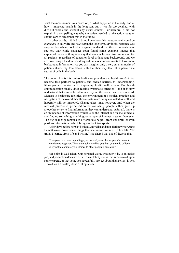what the measurement was based on, of what happened in the body, and of how it impacted health in the long run, but it was far too detailed, with difficult words and without any visual context. Furthermore, it did not explain in a compelling way why the patient needed to take action today or should care to remember this in the future.

In other words, it failed to bring home how this measurement would be *important* in daily life and *relevant* in the long term. My initial response was surprise, but when I looked at it again I realized that their comments were spot-on. Our clinic manager soon found some example images that explained the same thing in a way that was much easier to comprehend for all patients, regardless of education level or language background, and we are now using a handout she designed, unless someone wants to have more background information. As you can imagine, only a very small minority of patients shares my fascination with the chemistry that takes place on a subset of cells in the body!

The bottom line is this: unless healthcare providers and healthcare facilities become true partners to patients and reduce barriers to understanding, literacy-related obstacles to improving health will remain. But health communication finally does receive systematic attention $11$  and it is now understood that it must be addressed beyond the written and spoken word. Signage in healthcare facilities, the environment of a medical practice, and navigation of the overall healthcare system are being evaluated as well, and hopefully will be improved. Change takes time, however. And when the medical process is perceived to be confusing, people either give up altogether or try to find information they can understand. After all, there is an abundance of information available on the internet and on social media, and finding something, anything, on a topic of interest is easier than ever. The big challenge remains to differentiate helpful from unhelpful or even perilous information. Which brings us back to experts…

A few days before her 61<sup>st</sup> birthday, novelist and non-fiction writer Anne Lamott wrote down some things that she knows for sure. In her talk: "12 truths I learned from life and writing" she shared that one of these is that

"Everyone is screwed up, clingy, and scared, even the people who seem to have it most together. They are much more like you than you would believe, so try not to compare your insides to other people's outsides."<sup>14</sup>

Her point is well-taken. Our personal work, whatever it is, is an inside job, and perfection does not exist. The celebrity status that is bestowed upon some experts, or that some so successfully project about themselves, is best viewed with a healthy dose of skepticism.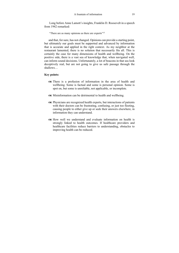Long before Anne Lamott's insights, Franklin D. Roosevelt in a speech from 1942 remarked:

"There are as many opinions as there are experts"<sup>15</sup>

and that, for sure, has not changed. Opinions can provide a starting point, but ultimately our goals must be supported and advanced by information that is accurate and applied in the right context. As my neighbor at the restaurant lamented, there is no solution that necessarily fits all. This is certainly the case for many dimensions of health and wellbeing. On the positive side, there is a vast sea of knowledge that, when navigated well, can inform sound decisions. Unfortunately, a lot of beacons in that sea look deceptively real, but are not going to give us safe passage through the shallows…

#### **Key points:**

- There is a profusion of information in the area of health and wellbeing. Some is factual and some is personal opinion. Some is spot on, but some is unreliable, not applicable, or incomplete.
- Misinformation can be detrimental to health and wellbeing.
- Physicians are recognized health experts, but interactions of patients with their doctors can be frustrating, confusing, or just too fleeting, causing people to either give up or seek their answers elsewhere, in information they can understand.
- $\alpha$  How well we understand and evaluate information on health is strongly linked to health outcomes. If healthcare providers and healthcare facilities reduce barriers to understanding, obstacles to improving health can be reduced.